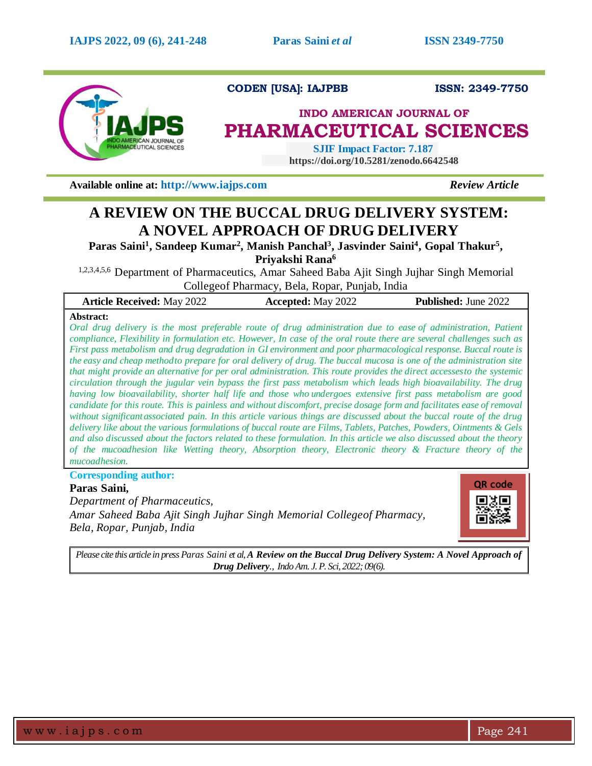

**CODEN [USA]: IAJPBB ISSN: 2349-7750**

# **INDO AMERICAN JOURNAL OF PHARMACEUTICAL SCIENCES**

 **SJIF Impact Factor: 7.187 https://doi.org/10.5281/zenodo.6642548**

**Available online at: [http://www.iajps.com](http://www.iajps.com/)** *Review Article*

# **A REVIEW ON THE BUCCAL DRUG DELIVERY SYSTEM: A NOVEL APPROACH OF DRUG DELIVERY**

**Paras Saini<sup>1</sup> , Sandeep Kumar<sup>2</sup> , Manish Panchal<sup>3</sup> , Jasvinder Saini<sup>4</sup> , Gopal Thakur<sup>5</sup> , Priyakshi Rana<sup>6</sup>**

1,2,3,4,5,6 Department of Pharmaceutics, Amar Saheed Baba Ajit Singh Jujhar Singh Memorial Collegeof Pharmacy, Bela, Ropar, Punjab, India

| <b>Article Received: May 2022</b> | <b>Accepted:</b> May 2022 | <b>Published:</b> June 2022 |
|-----------------------------------|---------------------------|-----------------------------|
|                                   |                           |                             |

### **Abstract:**

*Oral drug delivery is the most preferable route of drug administration due to ease of administration, Patient compliance, Flexibility in formulation etc. However, In case of the oral route there are several challenges such as First pass metabolism and drug degradation in GI environment and poor pharmacological response. Buccal route is the easy and cheap methodto prepare for oral delivery of drug. The buccal mucosa is one of the administration site that might provide an alternative for per oral administration. This route provides the direct accessesto the systemic circulation through the jugular vein bypass the first pass metabolism which leads high bioavailability. The drug having low bioavailability, shorter half life and those who undergoes extensive first pass metabolism are good candidate for this route. This is painless and without discomfort, precise dosage form and facilitates ease of removal without significantassociated pain. In this article various things are discussed about the buccal route of the drug delivery like about the various formulations of buccal route are Films, Tablets, Patches, Powders, Ointments & Gels and also discussed about the factors related to these formulation. In this article we also discussed about the theory of the mucoadhesion like Wetting theory, Absorption theory, Electronic theory & Fracture theory of the mucoadhesion.*

**Corresponding author:** 

### **Paras Saini,**

*Department of Pharmaceutics,*

*Amar Saheed Baba Ajit Singh Jujhar Singh Memorial Collegeof Pharmacy, Bela, Ropar, Punjab, India*



*Please cite this article in press Paras Saini et al,A Review on the Buccal Drug Delivery System: A Novel Approach of Drug Delivery., Indo Am. J. P. Sci, 2022; 09(6).*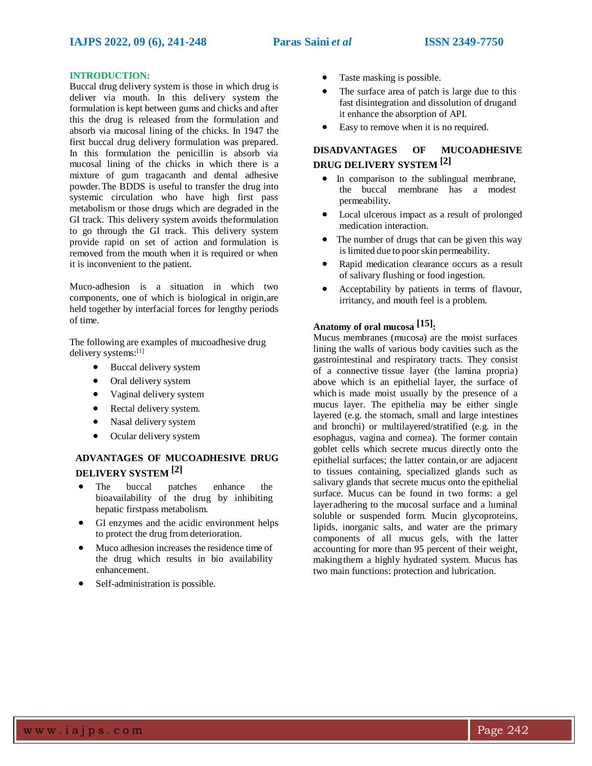### **INTRODUCTION:**

Buccal drug delivery system is those in which drug is deliver via mouth. In this delivery system the formulation is kept between gums and chicks and after this the drug is released from the formulation and absorb via mucosal lining of the chicks. In 1947 the first buccal drug delivery formulation was prepared. In this formulation the penicillin is absorb via mucosal lining of the chicks in which there is a mixture of gum tragacanth and dental adhesive powder.The BDDS is useful to transfer the drug into systemic circulation who have high first pass metabolism or those drugs which are degraded in the GI track. This delivery system avoids theformulation to go through the GI track. This delivery system provide rapid on set of action and formulation is removed from the mouth when it is required or when it is inconvenient to the patient.

Muco-adhesion is a situation in which two components, one of which is biological in origin,are held together by interfacial forces for lengthy periods of time.

The following are examples of mucoadhesive drug delivery systems:[1]

- Buccal delivery system
- Oral delivery system
- Vaginal delivery system
- Rectal delivery system.
- Nasal delivery system
- Ocular delivery system

### **ADVANTAGES OF MUCOADHESIVE DRUG DELIVERY SYSTEM [2]**

- The buccal patches enhance the bioavailability of the drug by inhibiting hepatic firstpass metabolism.
- GI enzymes and the acidic environment helps to protect the drug from deterioration.
- Muco adhesion increases the residence time of the drug which results in bio availability enhancement.
- Self-administration is possible.
- Taste masking is possible.
- The surface area of patch is large due to this fast disintegration and dissolution of drugand it enhance the absorption of API.
- Easy to remove when it is no required.

### **DISADVANTAGES OF MUCOADHESIVE DRUG DELIVERY SYSTEM [2]**

- In comparison to the sublingual membrane, the buccal membrane has a modest permeability.
- Local ulcerous impact as a result of prolonged medication interaction.
- The number of drugs that can be given this way is limited due to poor skin permeability.
- Rapid medication clearance occurs as a result of salivary flushing or food ingestion.
- Acceptability by patients in terms of flavour, irritancy, and mouth feel is a problem.

## **Anatomy of oral mucosa [15]:**

Mucus membranes (mucosa) are the moist surfaces lining the walls of various body cavities such as the gastrointestinal and respiratory tracts. They consist of a connective tissue layer (the lamina propria) above which is an epithelial layer, the surface of which is made moist usually by the presence of a mucus layer. The epithelia may be either single layered (e.g. the stomach, small and large intestines and bronchi) or multilayered/stratified (e.g. in the esophagus, vagina and cornea). The former contain goblet cells which secrete mucus directly onto the epithelial surfaces; the latter contain,or are adjacent to tissues containing, specialized glands such as salivary glands that secrete mucus onto the epithelial surface. Mucus can be found in two forms: a gel layeradhering to the mucosal surface and a luminal soluble or suspended form. Mucin glycoproteins, lipids, inorganic salts, and water are the primary components of all mucus gels, with the latter accounting for more than 95 percent of their weight, makingthem a highly hydrated system. Mucus has two main functions: protection and lubrication.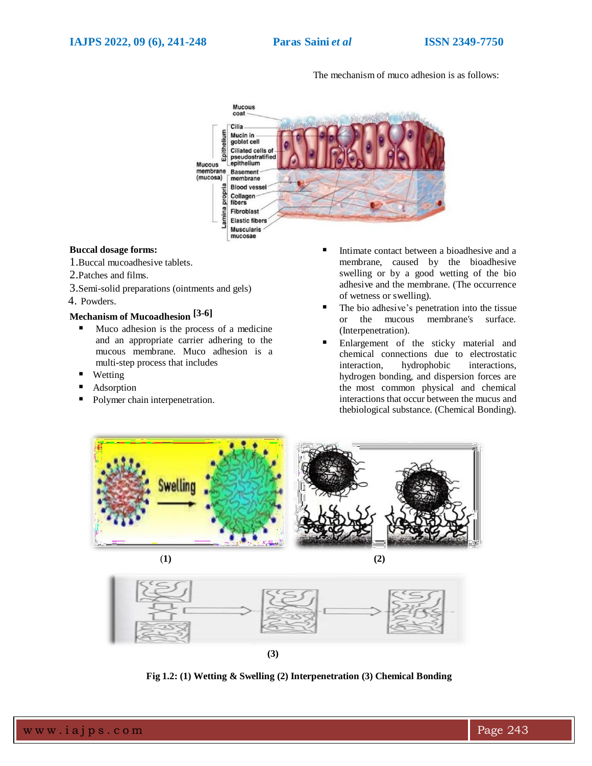The mechanism of muco adhesion is as follows:



#### **Buccal dosage forms:**

1.Buccal mucoadhesive tablets.

- 2.Patches and films.
- 3.Semi-solid preparations (ointments and gels)

4. Powders.

# **Mechanism of Mucoadhesion [3-6]**

- $\blacksquare$  Muco adhesion is the process of a medicine and an appropriate carrier adhering to the mucous membrane. Muco adhesion is a multi-step process that includes
- Wetting
- Adsorption
- Polymer chain interpenetration.
- Intimate contact between a bioadhesive and a membrane, caused by the bioadhesive swelling or by a good wetting of the bio adhesive and the membrane. (The occurrence of wetness or swelling).
- The bio adhesive's penetration into the tissue or the mucous membrane's surface. (Interpenetration).
- Enlargement of the sticky material and chemical connections due to electrostatic interaction, hydrophobic interactions, hydrogen bonding, and dispersion forces are the most common physical and chemical interactions that occur between the mucus and thebiological substance. (Chemical Bonding).





(**1) (2)**



**Fig 1.2: (1) Wetting & Swelling (2) Interpenetration (3) Chemical Bonding**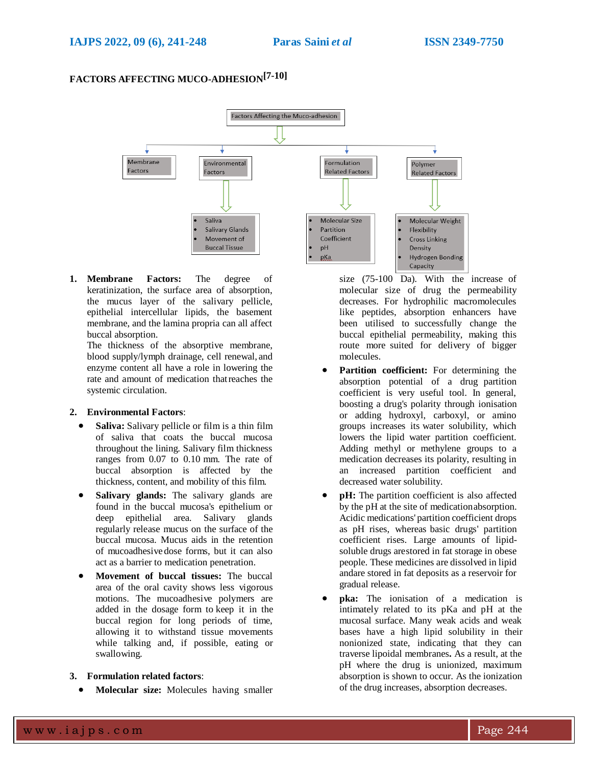## **FACTORS AFFECTING MUCO-ADHESION[7-10]**



**1. Membrane Factors:** The degree of keratinization, the surface area of absorption, the mucus layer of the salivary pellicle, epithelial intercellular lipids, the basement membrane, and the lamina propria can all affect buccal absorption.

The thickness of the absorptive membrane, blood supply/lymph drainage, cell renewal, and enzyme content all have a role in lowering the rate and amount of medication thatreaches the systemic circulation.

### **2. Environmental Factors**:

- **Saliva:** Salivary pellicle or film is a thin film of saliva that coats the buccal mucosa throughout the lining. Salivary film thickness ranges from 0.07 to 0.10 mm. The rate of buccal absorption is affected by the thickness, content, and mobility of this film.
- **Salivary glands:** The salivary glands are found in the buccal mucosa's epithelium or deep epithelial area. Salivary glands regularly release mucus on the surface of the buccal mucosa. Mucus aids in the retention of mucoadhesive dose forms, but it can also act as a barrier to medication penetration.
- **Movement of buccal tissues:** The buccal area of the oral cavity shows less vigorous motions. The mucoadhesive polymers are added in the dosage form to keep it in the buccal region for long periods of time, allowing it to withstand tissue movements while talking and, if possible, eating or swallowing.
- **3. Formulation related factors**:
	- **Molecular size:** Molecules having smaller

size (75-100 Da). With the increase of molecular size of drug the permeability decreases. For hydrophilic macromolecules like peptides, absorption enhancers have been utilised to successfully change the buccal epithelial permeability, making this route more suited for delivery of bigger molecules.

- **Partition coefficient:** For determining the absorption potential of a drug partition coefficient is very useful tool. In general, boosting a drug's polarity through ionisation or adding hydroxyl, carboxyl, or amino groups increases its water solubility, which lowers the lipid water partition coefficient. Adding methyl or methylene groups to a medication decreases its polarity, resulting in an increased partition coefficient and decreased water solubility.
- **pH:** The partition coefficient is also affected by the pH at the site of medicationabsorption. Acidic medications' partition coefficient drops as pH rises, whereas basic drugs' partition coefficient rises. Large amounts of lipidsoluble drugs arestored in fat storage in obese people. These medicines are dissolved in lipid andare stored in fat deposits as a reservoir for gradual release.
- **pka:** The ionisation of a medication is intimately related to its pKa and pH at the mucosal surface. Many weak acids and weak bases have a high lipid solubility in their nonionized state, indicating that they can traverse lipoidal membranes**.** As a result, at the pH where the drug is unionized, maximum absorption is shown to occur. As the ionization of the drug increases, absorption decreases.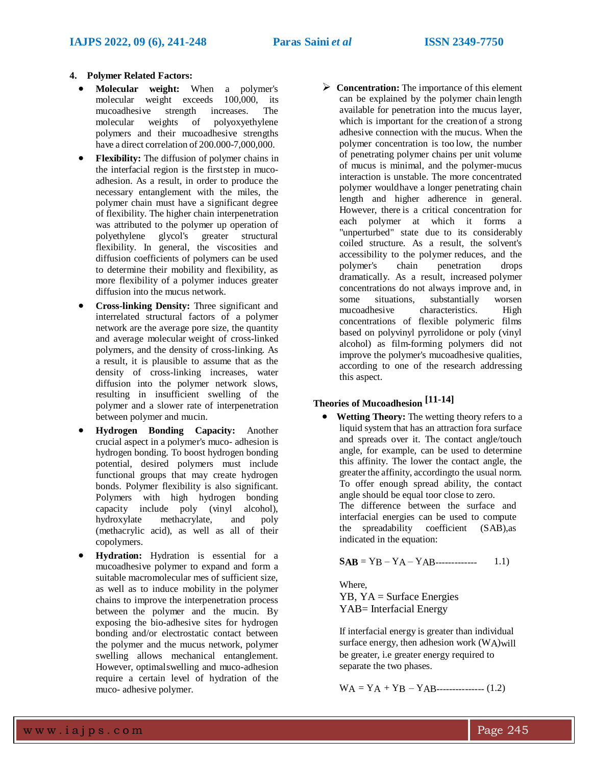#### **4. Polymer Related Factors:**

- **Molecular weight:** When a polymer's molecular weight exceeds 100,000, its mucoadhesive strength increases. The molecular weights of polyoxyethylene polymers and their mucoadhesive strengths have a direct correlation of 200.000-7,000,000.
- **Flexibility:** The diffusion of polymer chains in the interfacial region is the firststep in mucoadhesion. As a result, in order to produce the necessary entanglement with the miles, the polymer chain must have a significant degree of flexibility. The higher chain interpenetration was attributed to the polymer up operation of polyethylene glycol's greater structural flexibility. In general, the viscosities and diffusion coefficients of polymers can be used to determine their mobility and flexibility, as more flexibility of a polymer induces greater diffusion into the mucus network.
- **Cross-linking Density:** Three significant and interrelated structural factors of a polymer network are the average pore size, the quantity and average molecular weight of cross-linked polymers, and the density of cross-linking. As a result, it is plausible to assume that as the density of cross-linking increases, water diffusion into the polymer network slows, resulting in insufficient swelling of the polymer and a slower rate of interpenetration between polymer and mucin.
- **Hydrogen Bonding Capacity:** Another crucial aspect in a polymer's muco- adhesion is hydrogen bonding. To boost hydrogen bonding potential, desired polymers must include functional groups that may create hydrogen bonds. Polymer flexibility is also significant. Polymers with high hydrogen bonding capacity include poly (vinyl alcohol), hydroxylate methacrylate, and poly (methacrylic acid), as well as all of their copolymers.
- **Hydration:** Hydration is essential for a mucoadhesive polymer to expand and form a suitable macromolecular mes of sufficient size, as well as to induce mobility in the polymer chains to improve the interpenetration process between the polymer and the mucin. By exposing the bio-adhesive sites for hydrogen bonding and/or electrostatic contact between the polymer and the mucus network, polymer swelling allows mechanical entanglement. However, optimalswelling and muco-adhesion require a certain level of hydration of the muco- adhesive polymer.

**Concentration:** The importance of this element can be explained by the polymer chain length available for penetration into the mucus layer, which is important for the creation of a strong adhesive connection with the mucus. When the polymer concentration is too low, the number of penetrating polymer chains per unit volume of mucus is minimal, and the polymer-mucus interaction is unstable. The more concentrated polymer wouldhave a longer penetrating chain length and higher adherence in general. However, there is a critical concentration for each polymer at which it forms a "unperturbed" state due to its considerably coiled structure. As a result, the solvent's accessibility to the polymer reduces, and the polymer's chain penetration drops dramatically. As a result, increased polymer concentrations do not always improve and, in some situations, substantially worsen<br>mucoadhesive characteristics. High characteristics. High concentrations of flexible polymeric films based on polyvinyl pyrrolidone or poly (vinyl alcohol) as film-forming polymers did not improve the polymer's mucoadhesive qualities, according to one of the research addressing this aspect.

## **Theories of Mucoadhesion [11-14]**

 **Wetting Theory:** The wetting theory refers to a liquid system that has an attraction fora surface and spreads over it. The contact angle/touch angle, for example, can be used to determine this affinity. The lower the contact angle, the greater the affinity, accordingto the usual norm. To offer enough spread ability, the contact angle should be equal toor close to zero. The difference between the surface and interfacial energies can be used to compute the spreadability coefficient (SAB),as indicated in the equation:

$$
SAB = YB - YA - YAB
$$
 (1.1)

Where, YB, YA = Surface Energies YAB= Interfacial Energy

If interfacial energy is greater than individual surface energy, then adhesion work  $(W_A)$ will be greater, i.e greater energy required to separate the two phases.

$$
WA = YA + YB - YAB
$$
-----(1.2)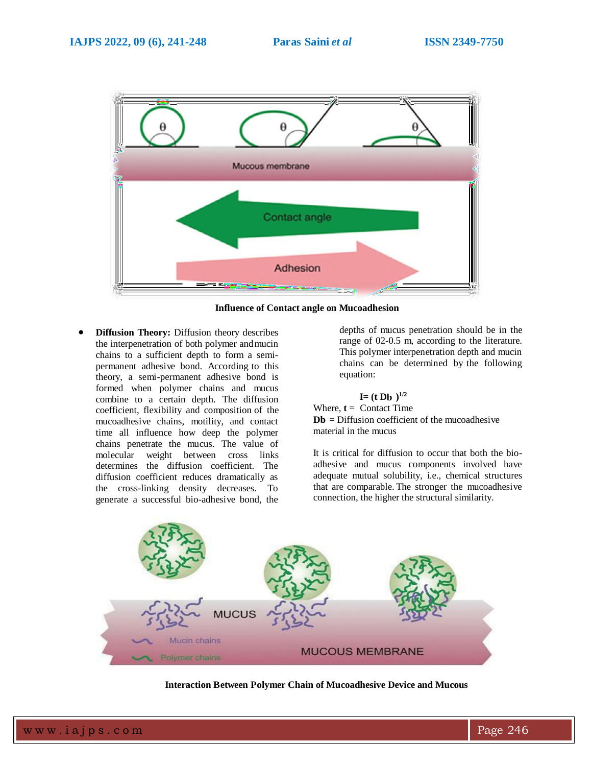

**Influence of Contact angle on Mucoadhesion**

 **Diffusion Theory:** Diffusion theory describes the interpenetration of both polymer andmucin chains to a sufficient depth to form a semipermanent adhesive bond. According to this theory, a semi-permanent adhesive bond is formed when polymer chains and mucus combine to a certain depth. The diffusion coefficient, flexibility and composition of the mucoadhesive chains, motility, and contact time all influence how deep the polymer chains penetrate the mucus. The value of molecular weight between cross links determines the diffusion coefficient. The diffusion coefficient reduces dramatically as the cross-linking density decreases. To generate a successful bio-adhesive bond, the

depths of mucus penetration should be in the range of 02-0.5 m, according to the literature. This polymer interpenetration depth and mucin chains can be determined by the following equation:

 $I = (t \text{ Db})^{1/2}$ Where,  $t =$  Contact Time  $Db = Diffusion coefficient of the mucoadhesive$ material in the mucus

It is critical for diffusion to occur that both the bioadhesive and mucus components involved have adequate mutual solubility, i.e., chemical structures that are comparable. The stronger the mucoadhesive connection, the higher the structural similarity.



**Interaction Between Polymer Chain of Mucoadhesive Device and Mucous**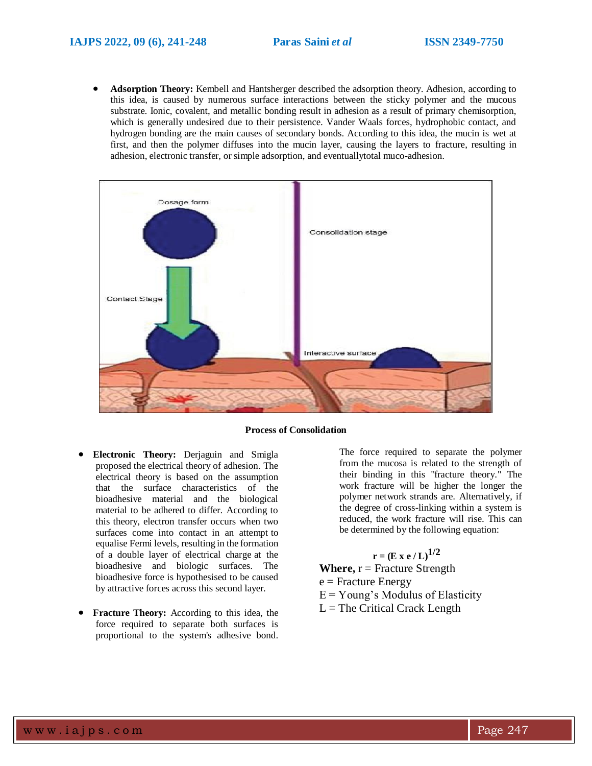**Adsorption Theory:** Kembell and Hantsherger described the adsorption theory. Adhesion, according to this idea, is caused by numerous surface interactions between the sticky polymer and the mucous substrate. Ionic, covalent, and metallic bonding result in adhesion as a result of primary chemisorption, which is generally undesired due to their persistence. Vander Waals forces, hydrophobic contact, and hydrogen bonding are the main causes of secondary bonds. According to this idea, the mucin is wet at first, and then the polymer diffuses into the mucin layer, causing the layers to fracture, resulting in adhesion, electronic transfer, or simple adsorption, and eventuallytotal muco-adhesion.



**Process of Consolidation**

- **Electronic Theory:** Derjaguin and Smigla proposed the electrical theory of adhesion. The electrical theory is based on the assumption that the surface characteristics of the bioadhesive material and the biological material to be adhered to differ. According to this theory, electron transfer occurs when two surfaces come into contact in an attempt to equalise Fermi levels, resulting in the formation of a double layer of electrical charge at the bioadhesive and biologic surfaces. The bioadhesive force is hypothesised to be caused by attractive forces across this second layer.
- **Fracture Theory:** According to this idea, the force required to separate both surfaces is proportional to the system's adhesive bond.

The force required to separate the polymer from the mucosa is related to the strength of their binding in this "fracture theory." The work fracture will be higher the longer the polymer network strands are. Alternatively, if the degree of cross-linking within a system is reduced, the work fracture will rise. This can be determined by the following equation:

### ${\bf r} = ({\bf E} \times {\bf e} / {\bf L})^{1/2}$

**Where,** r = Fracture Strength  $e =$  Fracture Energy  $E = Young's Modulus of Elasticity$ 

 $L =$  The Critical Crack Length